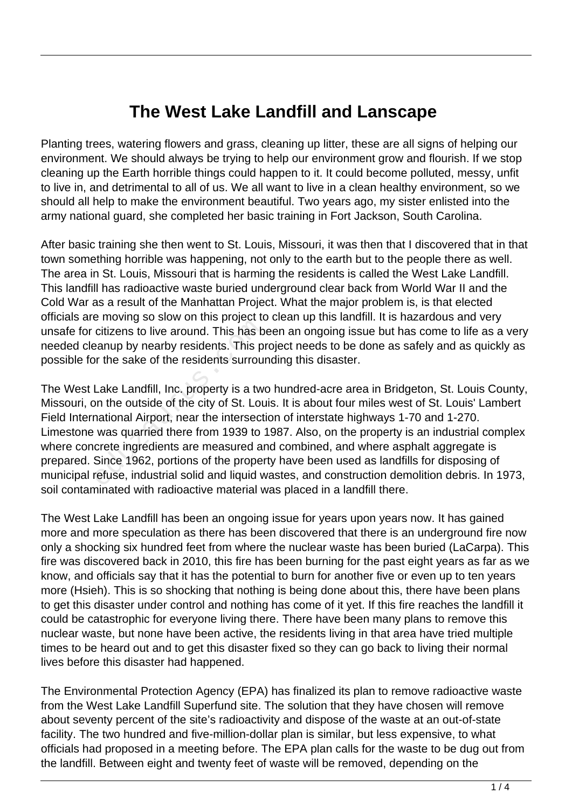## **The West Lake Landfill and Lanscape**

Planting trees, watering flowers and grass, cleaning up litter, these are all signs of helping our environment. We should always be trying to help our environment grow and flourish. If we stop cleaning up the Earth horrible things could happen to it. It could become polluted, messy, unfit to live in, and detrimental to all of us. We all want to live in a clean healthy environment, so we should all help to make the environment beautiful. Two years ago, my sister enlisted into the army national guard, she completed her basic training in Fort Jackson, South Carolina.

After basic training she then went to St. Louis, Missouri, it was then that I discovered that in that town something horrible was happening, not only to the earth but to the people there as well. The area in St. Louis, Missouri that is harming the residents is called the West Lake Landfill. This landfill has radioactive waste buried underground clear back from World War II and the Cold War as a result of the Manhattan Project. What the major problem is, is that elected officials are moving so slow on this project to clean up this landfill. It is hazardous and very unsafe for citizens to live around. This has been an ongoing issue but has come to life as a very needed cleanup by nearby residents. This project needs to be done as safely and as quickly as possible for the sake of the residents surrounding this disaster.

The West Lake Landfill, Inc. property is a two hundred-acre area in Bridgeton, St. Louis County, Missouri, on the outside of the city of St. Louis. It is about four miles west of St. Louis' Lambert Field International Airport, near the intersection of interstate highways 1-70 and 1-270. Limestone was quarried there from 1939 to 1987. Also, on the property is an industrial complex where concrete ingredients are measured and combined, and where asphalt aggregate is prepared. Since 1962, portions of the property have been used as landfills for disposing of municipal refuse, industrial solid and liquid wastes, and construction demolition debris. In 1973, soil contaminated with radioactive material was placed in a landfill there. educitizens to live around. This has been in the sake of the residents. This port the sake of the residents surrour Lake Landfill, Inc. property is a two not the outside of the city of St. Lourational Airport, near the int

The West Lake Landfill has been an ongoing issue for years upon years now. It has gained more and more speculation as there has been discovered that there is an underground fire now only a shocking six hundred feet from where the nuclear waste has been buried (LaCarpa). This fire was discovered back in 2010, this fire has been burning for the past eight years as far as we know, and officials say that it has the potential to burn for another five or even up to ten years more (Hsieh). This is so shocking that nothing is being done about this, there have been plans to get this disaster under control and nothing has come of it yet. If this fire reaches the landfill it could be catastrophic for everyone living there. There have been many plans to remove this nuclear waste, but none have been active, the residents living in that area have tried multiple times to be heard out and to get this disaster fixed so they can go back to living their normal lives before this disaster had happened.

The Environmental Protection Agency (EPA) has finalized its plan to remove radioactive waste from the West Lake Landfill Superfund site. The solution that they have chosen will remove about seventy percent of the site's radioactivity and dispose of the waste at an out-of-state facility. The two hundred and five-million-dollar plan is similar, but less expensive, to what officials had proposed in a meeting before. The EPA plan calls for the waste to be dug out from the landfill. Between eight and twenty feet of waste will be removed, depending on the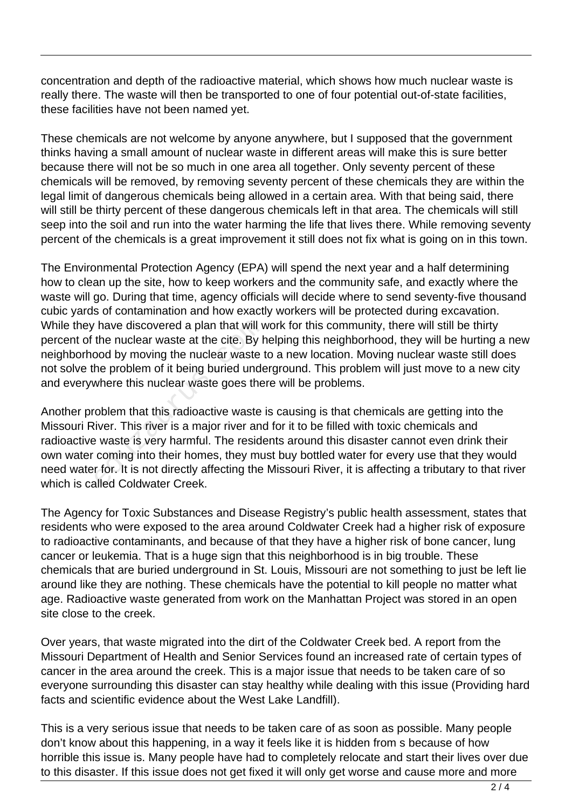concentration and depth of the radioactive material, which shows how much nuclear waste is really there. The waste will then be transported to one of four potential out-of-state facilities, these facilities have not been named yet.

These chemicals are not welcome by anyone anywhere, but I supposed that the government thinks having a small amount of nuclear waste in different areas will make this is sure better because there will not be so much in one area all together. Only seventy percent of these chemicals will be removed, by removing seventy percent of these chemicals they are within the legal limit of dangerous chemicals being allowed in a certain area. With that being said, there will still be thirty percent of these dangerous chemicals left in that area. The chemicals will still seep into the soil and run into the water harming the life that lives there. While removing seventy percent of the chemicals is a great improvement it still does not fix what is going on in this town.

The Environmental Protection Agency (EPA) will spend the next year and a half determining how to clean up the site, how to keep workers and the community safe, and exactly where the waste will go. During that time, agency officials will decide where to send seventy-five thousand cubic yards of contamination and how exactly workers will be protected during excavation. While they have discovered a plan that will work for this community, there will still be thirty percent of the nuclear waste at the cite. By helping this neighborhood, they will be hurting a new neighborhood by moving the nuclear waste to a new location. Moving nuclear waste still does not solve the problem of it being buried underground. This problem will just move to a new city and everywhere this nuclear waste goes there will be problems.

Another problem that this radioactive waste is causing is that chemicals are getting into the Missouri River. This river is a major river and for it to be filled with toxic chemicals and radioactive waste is very harmful. The residents around this disaster cannot even drink their own water coming into their homes, they must buy bottled water for every use that they would need water for. It is not directly affecting the Missouri River, it is affecting a tributary to that river which is called Coldwater Creek. Thave discovered a plan that will v<br>the nuclear waste at the cite. By h<br>pod by moving the nuclear waste the<br>problem of it being buried unde<br>where this nuclear waste goes the<br>oblem that this radioactive waste<br>iver. This riv

The Agency for Toxic Substances and Disease Registry's public health assessment, states that residents who were exposed to the area around Coldwater Creek had a higher risk of exposure to radioactive contaminants, and because of that they have a higher risk of bone cancer, lung cancer or leukemia. That is a huge sign that this neighborhood is in big trouble. These chemicals that are buried underground in St. Louis, Missouri are not something to just be left lie around like they are nothing. These chemicals have the potential to kill people no matter what age. Radioactive waste generated from work on the Manhattan Project was stored in an open site close to the creek.

Over years, that waste migrated into the dirt of the Coldwater Creek bed. A report from the Missouri Department of Health and Senior Services found an increased rate of certain types of cancer in the area around the creek. This is a major issue that needs to be taken care of so everyone surrounding this disaster can stay healthy while dealing with this issue (Providing hard facts and scientific evidence about the West Lake Landfill).

This is a very serious issue that needs to be taken care of as soon as possible. Many people don't know about this happening, in a way it feels like it is hidden from s because of how horrible this issue is. Many people have had to completely relocate and start their lives over due to this disaster. If this issue does not get fixed it will only get worse and cause more and more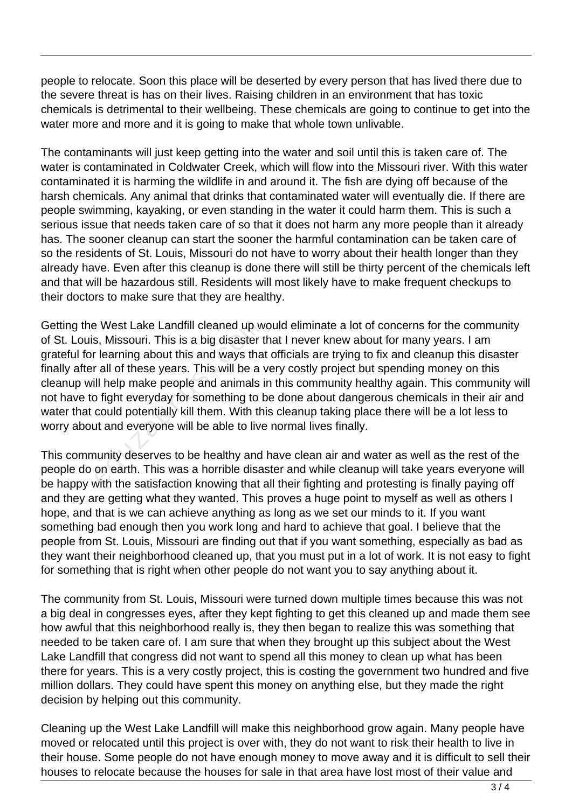people to relocate. Soon this place will be deserted by every person that has lived there due to the severe threat is has on their lives. Raising children in an environment that has toxic chemicals is detrimental to their wellbeing. These chemicals are going to continue to get into the water more and more and it is going to make that whole town unlivable.

The contaminants will just keep getting into the water and soil until this is taken care of. The water is contaminated in Coldwater Creek, which will flow into the Missouri river. With this water contaminated it is harming the wildlife in and around it. The fish are dying off because of the harsh chemicals. Any animal that drinks that contaminated water will eventually die. If there are people swimming, kayaking, or even standing in the water it could harm them. This is such a serious issue that needs taken care of so that it does not harm any more people than it already has. The sooner cleanup can start the sooner the harmful contamination can be taken care of so the residents of St. Louis, Missouri do not have to worry about their health longer than they already have. Even after this cleanup is done there will still be thirty percent of the chemicals left and that will be hazardous still. Residents will most likely have to make frequent checkups to their doctors to make sure that they are healthy.

Getting the West Lake Landfill cleaned up would eliminate a lot of concerns for the community of St. Louis, Missouri. This is a big disaster that I never knew about for many years. I am grateful for learning about this and ways that officials are trying to fix and cleanup this disaster finally after all of these years. This will be a very costly project but spending money on this cleanup will help make people and animals in this community healthy again. This community will not have to fight everyday for something to be done about dangerous chemicals in their air and water that could potentially kill them. With this cleanup taking place there will be a lot less to worry about and everyone will be able to live normal lives finally. E West Lake Landfill cleaned up w<br>s, Missouri. This is a big disaster t<br>r learning about this and ways that<br>r all of these years. This will be a v<br>ill help make people and animals i<br>b fight everyday for something to b<br>coul

This community deserves to be healthy and have clean air and water as well as the rest of the people do on earth. This was a horrible disaster and while cleanup will take years everyone will be happy with the satisfaction knowing that all their fighting and protesting is finally paying off and they are getting what they wanted. This proves a huge point to myself as well as others I hope, and that is we can achieve anything as long as we set our minds to it. If you want something bad enough then you work long and hard to achieve that goal. I believe that the people from St. Louis, Missouri are finding out that if you want something, especially as bad as they want their neighborhood cleaned up, that you must put in a lot of work. It is not easy to fight for something that is right when other people do not want you to say anything about it.

The community from St. Louis, Missouri were turned down multiple times because this was not a big deal in congresses eyes, after they kept fighting to get this cleaned up and made them see how awful that this neighborhood really is, they then began to realize this was something that needed to be taken care of. I am sure that when they brought up this subject about the West Lake Landfill that congress did not want to spend all this money to clean up what has been there for years. This is a very costly project, this is costing the government two hundred and five million dollars. They could have spent this money on anything else, but they made the right decision by helping out this community.

Cleaning up the West Lake Landfill will make this neighborhood grow again. Many people have moved or relocated until this project is over with, they do not want to risk their health to live in their house. Some people do not have enough money to move away and it is difficult to sell their houses to relocate because the houses for sale in that area have lost most of their value and